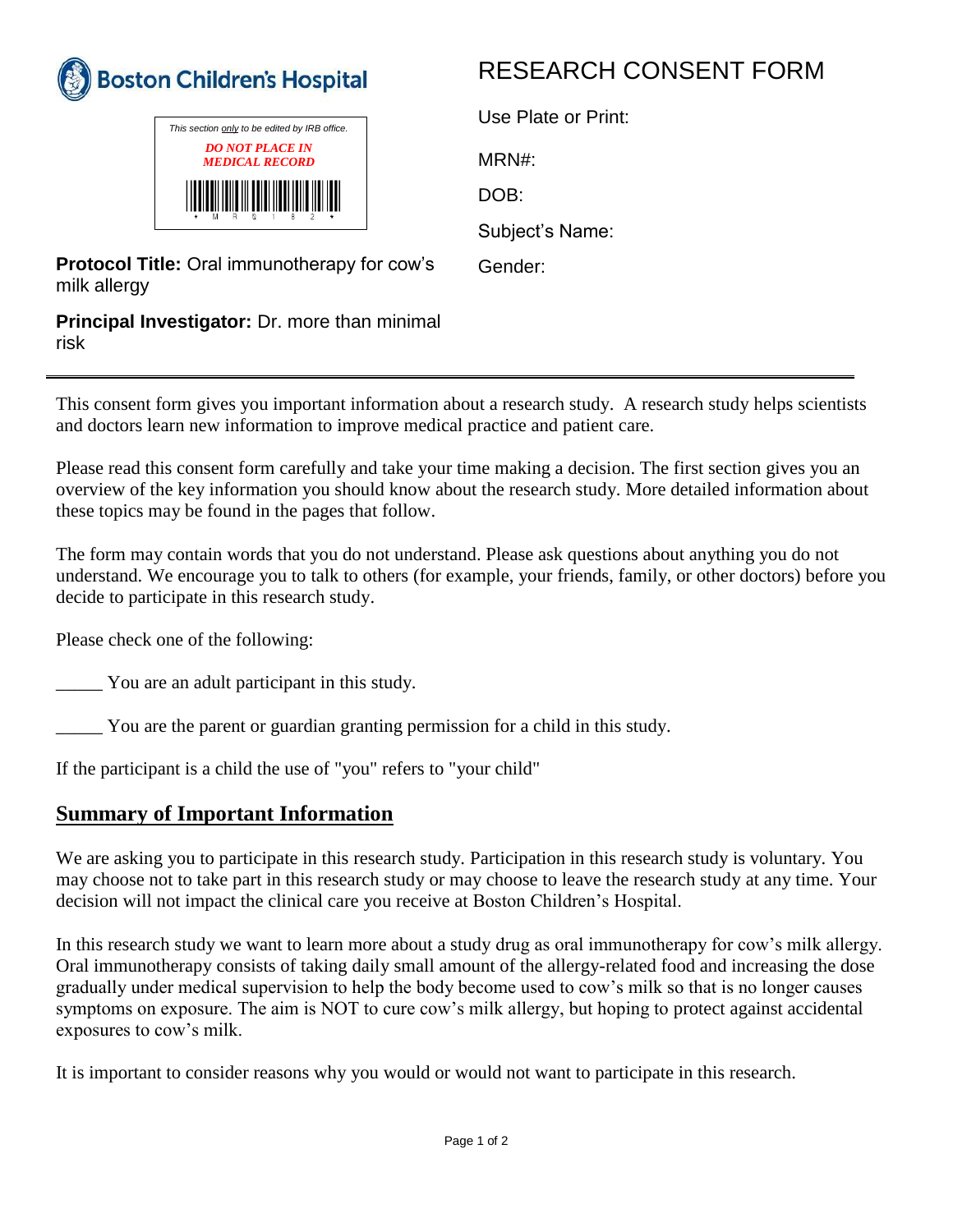

| This section only to be edited by IRB office. |
|-----------------------------------------------|
| DO NOT PLACE IN                               |
| <b>MEDICAL RECORD</b>                         |
|                                               |
|                                               |

**Protocol Title:** Oral immunotherapy for cow's milk allergy

**Principal Investigator:** Dr. more than minimal risk

## RESEARCH CONSENT FORM

Use Plate or Print: MRN#: DOB: Subject's Name: Gender:

This consent form gives you important information about a research study. A research study helps scientists and doctors learn new information to improve medical practice and patient care.

Please read this consent form carefully and take your time making a decision. The first section gives you an overview of the key information you should know about the research study. More detailed information about these topics may be found in the pages that follow.

The form may contain words that you do not understand. Please ask questions about anything you do not understand. We encourage you to talk to others (for example, your friends, family, or other doctors) before you decide to participate in this research study.

Please check one of the following:

\_\_\_\_\_ You are an adult participant in this study.

\_\_\_\_\_ You are the parent or guardian granting permission for a child in this study.

If the participant is a child the use of "you" refers to "your child"

## **Summary of Important Information**

We are asking you to participate in this research study. Participation in this research study is voluntary. You may choose not to take part in this research study or may choose to leave the research study at any time. Your decision will not impact the clinical care you receive at Boston Children's Hospital.

In this research study we want to learn more about a study drug as oral immunotherapy for cow's milk allergy. Oral immunotherapy consists of taking daily small amount of the allergy-related food and increasing the dose gradually under medical supervision to help the body become used to cow's milk so that is no longer causes symptoms on exposure. The aim is NOT to cure cow's milk allergy, but hoping to protect against accidental exposures to cow's milk.

It is important to consider reasons why you would or would not want to participate in this research.